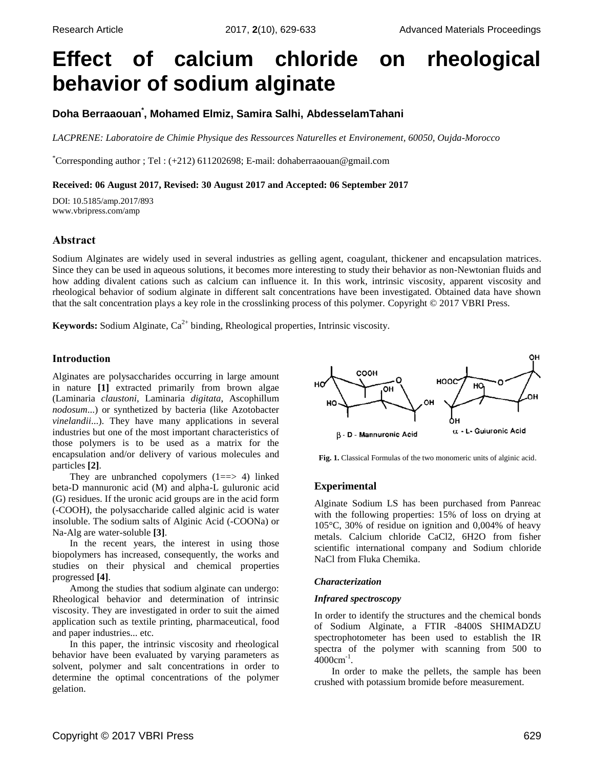# **Effect of calcium chloride on rheological behavior of sodium alginate**

# **Doha Berraaouan\* , Mohamed Elmiz, Samira Salhi, AbdesselamTahani**

*LACPRENE: Laboratoire de Chimie Physique des Ressources Naturelles et Environement, 60050, Oujda-Morocco*

\*Corresponding author ; Tel : (+212) 611202698; E-mail: dohaberraaouan@gmail.com

### **Received: 06 August 2017, Revised: 30 August 2017 and Accepted: 06 September 2017**

DOI: 10.5185/amp.2017/893 www.vbripress.com/amp

## **Abstract**

Sodium Alginates are widely used in several industries as gelling agent, coagulant, thickener and encapsulation matrices. Since they can be used in aqueous solutions, it becomes more interesting to study their behavior as non-Newtonian fluids and how adding divalent cations such as calcium can influence it. In this work, intrinsic viscosity, apparent viscosity and rheological behavior of sodium alginate in different salt concentrations have been investigated. Obtained data have shown that the salt concentration plays a key role in the crosslinking process of this polymer. Copyright © 2017 VBRI Press.

**Keywords:** Sodium Alginate,  $Ca^{2+}$  binding, Rheological properties, Intrinsic viscosity.

## **Introduction**

Alginates are polysaccharides occurring in large amount in nature **[\[1\]](#page-4-0)** extracted primarily from brown algae (Laminaria *claustoni*, Laminaria *digitata*, Ascophillum *nodosum*...) or synthetized by bacteria (like Azotobacter *vinelandii*...). They have many applications in several industries but one of the most important characteristics of those polymers is to be used as a matrix for the encapsulation and/or delivery of various molecules and particles **[\[2\]](#page-4-1)**.

They are unbranched copolymers  $(1 == > 4)$  linked beta-D mannuronic acid (M) and alpha-L guluronic acid (G) residues. If the uronic acid groups are in the acid form (-COOH), the polysaccharide called alginic acid is water insoluble. The sodium salts of Alginic Acid (-COONa) or Na-Alg are water-soluble **[\[3\]](#page-4-2)**.

In the recent years, the interest in using those biopolymers has increased, consequently, the works and studies on their physical and chemical properties progressed **[\[4\]](#page-4-3)**.

Among the studies that sodium alginate can undergo: Rheological behavior and determination of intrinsic viscosity. They are investigated in order to suit the aimed application such as textile printing, pharmaceutical, food and paper industries... etc.

In this paper, the intrinsic viscosity and rheological behavior have been evaluated by varying parameters as solvent, polymer and salt concentrations in order to determine the optimal concentrations of the polymer gelation.



**Fig. 1.** Classical Formulas of the two monomeric units of alginic acid.

## **Experimental**

Alginate Sodium LS has been purchased from Panreac with the following properties: 15% of loss on drying at 105°C, 30% of residue on ignition and 0,004% of heavy metals. Calcium chloride CaCl2, 6H2O from fisher scientific international company and Sodium chloride NaCl from Fluka Chemika.

#### *Characterization*

#### *Infrared spectroscopy*

In order to identify the structures and the chemical bonds of Sodium Alginate, a FTIR -8400S SHIMADZU spectrophotometer has been used to establish the IR spectra of the polymer with scanning from 500 to  $4000 \text{cm}^{-1}$ .

In order to make the pellets, the sample has been crushed with potassium bromide before measurement.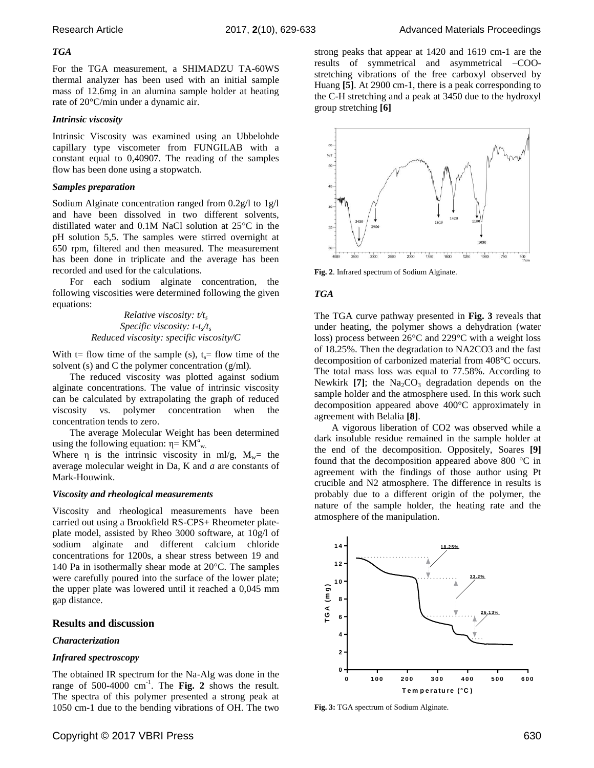#### *TGA*

For the TGA measurement, a SHIMADZU TA-60WS thermal analyzer has been used with an initial sample mass of 12.6mg in an alumina sample holder at heating rate of 20°C/min under a dynamic air.

#### *Intrinsic viscosity*

Intrinsic Viscosity was examined using an Ubbelohde capillary type viscometer from FUNGILAB with a constant equal to 0,40907. The reading of the samples flow has been done using a stopwatch.

#### *Samples preparation*

Sodium Alginate concentration ranged from 0.2g/l to 1g/l and have been dissolved in two different solvents, distillated water and 0.1M NaCl solution at 25°C in the pH solution 5,5. The samples were stirred overnight at 650 rpm, filtered and then measured. The measurement has been done in triplicate and the average has been recorded and used for the calculations.

For each sodium alginate concentration, the following viscosities were determined following the given equations:

> *Relative viscosity: t/t<sup>s</sup> Specific viscosity: t-t<sup>s</sup> /ts Reduced viscosity: specific viscosity/C*

With t= flow time of the sample (s),  $t_s$ = flow time of the solvent (s) and C the polymer concentration (g/ml)*.*

The reduced viscosity was plotted against sodium alginate concentrations. The value of intrinsic viscosity can be calculated by extrapolating the graph of reduced viscosity vs. polymer concentration when the concentration tends to zero.

The average Molecular Weight has been determined using the following equation:  $\eta = KM^a{}_{w}$ .

Where  $\eta$  is the intrinsic viscosity in ml/g,  $M_w$ = the average molecular weight in Da, K and *a* are constants of Mark-Houwink.

#### *Viscosity and rheological measurements*

Viscosity and rheological measurements have been carried out using a Brookfield RS-CPS+ Rheometer plateplate model, assisted by Rheo 3000 software, at 10g/l of sodium alginate and different calcium chloride concentrations for 1200s, a shear stress between 19 and 140 Pa in isothermally shear mode at 20°C. The samples were carefully poured into the surface of the lower plate; the upper plate was lowered until it reached a 0,045 mm gap distance.

#### **Results and discussion**

#### *Characterization*

#### *Infrared spectroscopy*

The obtained IR spectrum for the Na-Alg was done in the range of 500-4000  $cm^{-1}$ . The Fig. 2 shows the result. The spectra of this polymer presented a strong peak at 1050 cm-1 due to the bending vibrations of OH. The two

strong peaks that appear at 1420 and 1619 cm-1 are the results of symmetrical and asymmetrical –COOstretching vibrations of the free carboxyl observed by Huang **[\[5\]](#page-4-4)**. At 2900 cm-1, there is a peak corresponding to the C-H stretching and a peak at 3450 due to the hydroxyl group stretching **[\[6\]](#page-4-5)**



**Fig. 2**. Infrared spectrum of Sodium Alginate.

#### *TGA*

The TGA curve pathway presented in **Fig. 3** reveals that under heating, the polymer shows a dehydration (water loss) process between 26°C and 229°C with a weight loss of 18.25%. Then the degradation to NA2CO3 and the fast decomposition of carbonized material from 408°C occurs. The total mass loss was equal to 77.58%. According to Newkirk  $[7]$ ; the Na<sub>2</sub>CO<sub>3</sub> degradation depends on the sample holder and the atmosphere used. In this work such decomposition appeared above 400°C approximately in agreement with Belalia **[\[8\]](#page-4-7)**.

A vigorous liberation of CO2 was observed while a dark insoluble residue remained in the sample holder at the end of the decomposition. Oppositely, Soares **[\[9\]](#page-4-8)** found that the decomposition appeared above 800 °C in agreement with the findings of those author using Pt crucible and N2 atmosphere. The difference in results is probably due to a different origin of the polymer, the nature of the sample holder, the heating rate and the atmosphere of the manipulation.



**Fig. 3:** TGA spectrum of Sodium Alginate.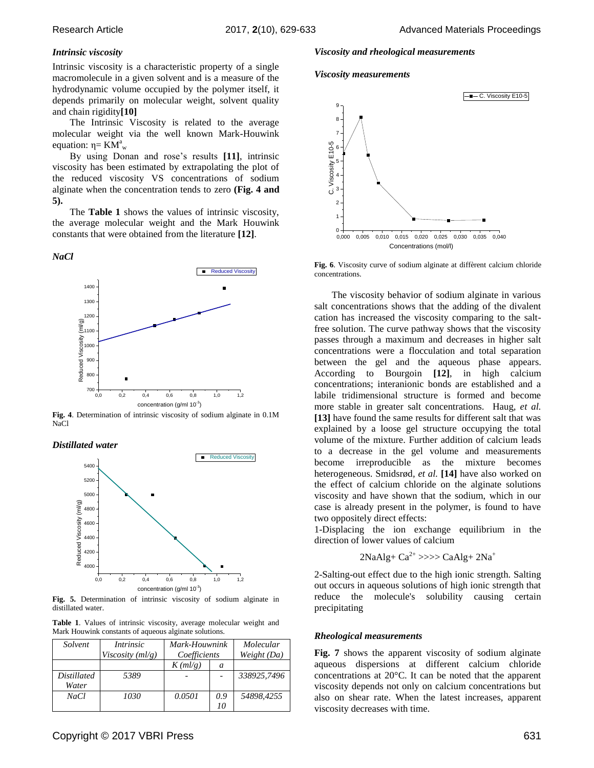#### *Intrinsic viscosity*

Intrinsic viscosity is a characteristic property of a single macromolecule in a given solvent and is a measure of the hydrodynamic volume occupied by the polymer itself, it depends primarily on molecular weight, solvent quality and chain rigidity**[\[10\]](#page-4-9)**

The Intrinsic Viscosity is related to the average molecular weight via the well known Mark-Houwink equation:  $η = K\overline{M}^a_{w}$ 

By using Donan and rose's results **[\[11\]](#page-4-10)**, intrinsic viscosity has been estimated by extrapolating the plot of the reduced viscosity VS concentrations of sodium alginate when the concentration tends to zero **(Fig. 4 and 5).**

The **Table 1** shows the values of intrinsic viscosity, the average molecular weight and the Mark Houwink constants that were obtained from the literature **[\[12\]](#page-4-11)**.

## *NaCl*



**Fig. 4**. Determination of intrinsic viscosity of sodium alginate in 0.1M NaCl

#### *Distillated water*



**Fig. 5.** Determination of intrinsic viscosity of sodium alginate in distillated water.

**Table 1**. Values of intrinsic viscosity, average molecular weight and Mark Houwink constants of aqueous alginate solutions.

| Solvent            | <i>Intrinsic</i><br>Viscosity $(ml/g)$ | Mark-Houwnink<br>Coefficients |     | Molecular<br>Weight (Da) |
|--------------------|----------------------------------------|-------------------------------|-----|--------------------------|
|                    |                                        | $K$ (ml/g)                    | a   |                          |
| <i>Distillated</i> | 5389                                   |                               |     | 338925.7496              |
| Water              |                                        |                               |     |                          |
| NaCl               | 1030                                   | 0.0501                        | 0.9 | 54898.4255               |
|                    |                                        |                               | 10  |                          |

#### *Viscosity and rheological measurements*

*Viscosity measurements*



**Fig. 6**. Viscosity curve of sodium alginate at diffèrent calcium chloride concentrations.

The viscosity behavior of sodium alginate in various salt concentrations shows that the adding of the divalent cation has increased the viscosity comparing to the saltfree solution. The curve pathway shows that the viscosity passes through a maximum and decreases in higher salt concentrations were a flocculation and total separation between the gel and the aqueous phase appears. According to Bourgoin **[\[12\]](#page-4-11)**, in high calcium concentrations; interanionic bonds are established and a labile tridimensional structure is formed and become more stable in greater salt concentrations. Haug*[, et al.](#page-4-12)* **[13]** have found the same results for different salt that was explained by a loose gel structure occupying the total volume of the mixture. Further addition of calcium leads to a decrease in the gel volume and measurements become irreproducible as the mixture becomes heterogeneous. [Smidsrød](#page-4-13)*, et al.* **[14]** have also worked on the effect of calcium chloride on the alginate solutions viscosity and have shown that the sodium, which in our case is already present in the polymer, is found to have two oppositely direct effects:

1-Displacing the ion exchange equilibrium in the direction of lower values of calcium

$$
2NaAlg + Ca2+ \gg\gg CaAlg + 2Na+
$$

2-Salting-out effect due to the high ionic strength. Salting out occurs in aqueous solutions of high ionic strength that reduce the molecule's solubility causing certain precipitating

#### *Rheological measurements*

**Fig. 7** shows the apparent viscosity of sodium alginate aqueous dispersions at different calcium chloride concentrations at 20°C. It can be noted that the apparent viscosity depends not only on calcium concentrations but also on shear rate. When the latest increases, apparent viscosity decreases with time.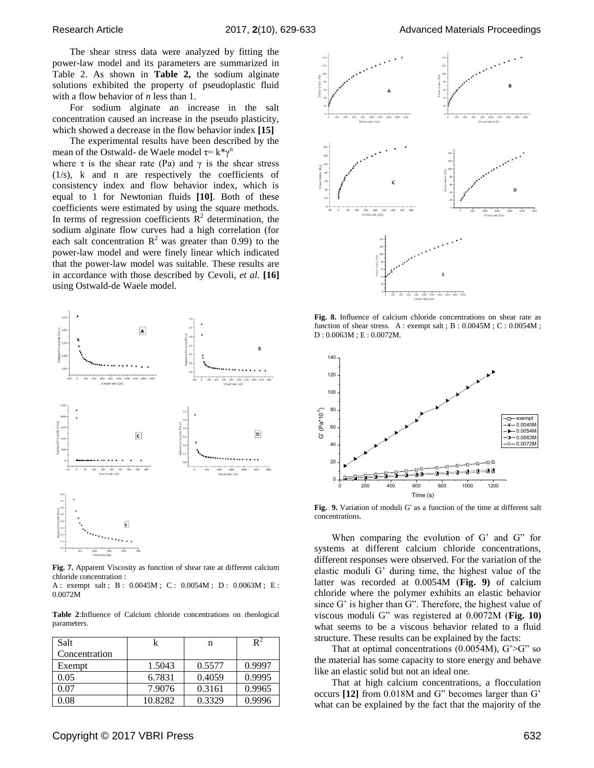The shear stress data were analyzed by fitting the power-law model and its parameters are summarized in Table 2. As shown in **Table 2,** the sodium alginate solutions exhibited the property of pseudoplastic fluid with a flow behavior of *n* less than 1.

For sodium alginate an increase in the salt concentration caused an increase in the pseudo plasticity, which showed a decrease in the flow behavior index **[\[15\]](#page-4-14)**

The experimental results have been described by the mean of the Ostwald- de Waele model  $\tau = k^* \gamma^n$ where  $\tau$  is the shear rate (Pa) and  $\gamma$  is the shear stress

(1/s), k and n are respectively the coefficients of consistency index and flow behavior index, which is equal to 1 for Newtonian fluids **[\[10\]](#page-4-9)**. Both of these coefficients were estimated by using the square methods. In terms of regression coefficients  $\mathbb{R}^2$  determination, the sodium alginate flow curves had a high correlation (for each salt concentration  $\mathbb{R}^2$  was greater than 0.99) to the power-law model and were finely linear which indicated that the power-law model was suitable. These results are in accordance with those described by [Cevoli](#page-4-15)*, et al.* **[16]** using Ostwald-de Waele model.



**Fig. 7.** Apparent Viscosity as function of shear rate at different calcium chloride concentration :

A : exempt salt ; B : 0.0045M ; C : 0.0054M ; D : 0.0063M ; E : 0.0072M

**Table 2**:Influence of Calcium chloride concentrations on rheological parameters.

| Salt          | k       | n      |        |
|---------------|---------|--------|--------|
| Concentration |         |        |        |
| Exempt        | 1.5043  | 0.5577 | 0.9997 |
| 0.05          | 6.7831  | 0.4059 | 0.9995 |
| 0.07          | 7.9076  | 0.3161 | 0.9965 |
| 0.08          | 10.8282 | 0.3329 | 0.9996 |



**Fig. 8.** Influence of calcium chloride concentrations on shear rate as function of shear stress. A : exempt salt ; B : 0.0045M ; C : 0.0054M ; D : 0.0063M ; E : 0.0072M.



**Fig. 9.** Variation of moduli G' as a function of the time at different salt concentrations.

When comparing the evolution of G' and G" for systems at different calcium chloride concentrations, different responses were observed. For the variation of the elastic moduli G' during time, the highest value of the latter was recorded at 0.0054M (**Fig. 9)** of calcium chloride where the polymer exhibits an elastic behavior since G' is higher than G". Therefore, the highest value of viscous moduli G" was registered at 0.0072M (**Fig. 10)** what seems to be a viscous behavior related to a fluid structure. These results can be explained by the facts:

That at optimal concentrations  $(0.0054M)$ ,  $G' > G''$  so the material has some capacity to store energy and behave like an elastic solid but not an ideal one.

That at high calcium concentrations, a flocculation occurs **[\[12\]](#page-4-11)** from 0.018M and G" becomes larger than G' what can be explained by the fact that the majority of the